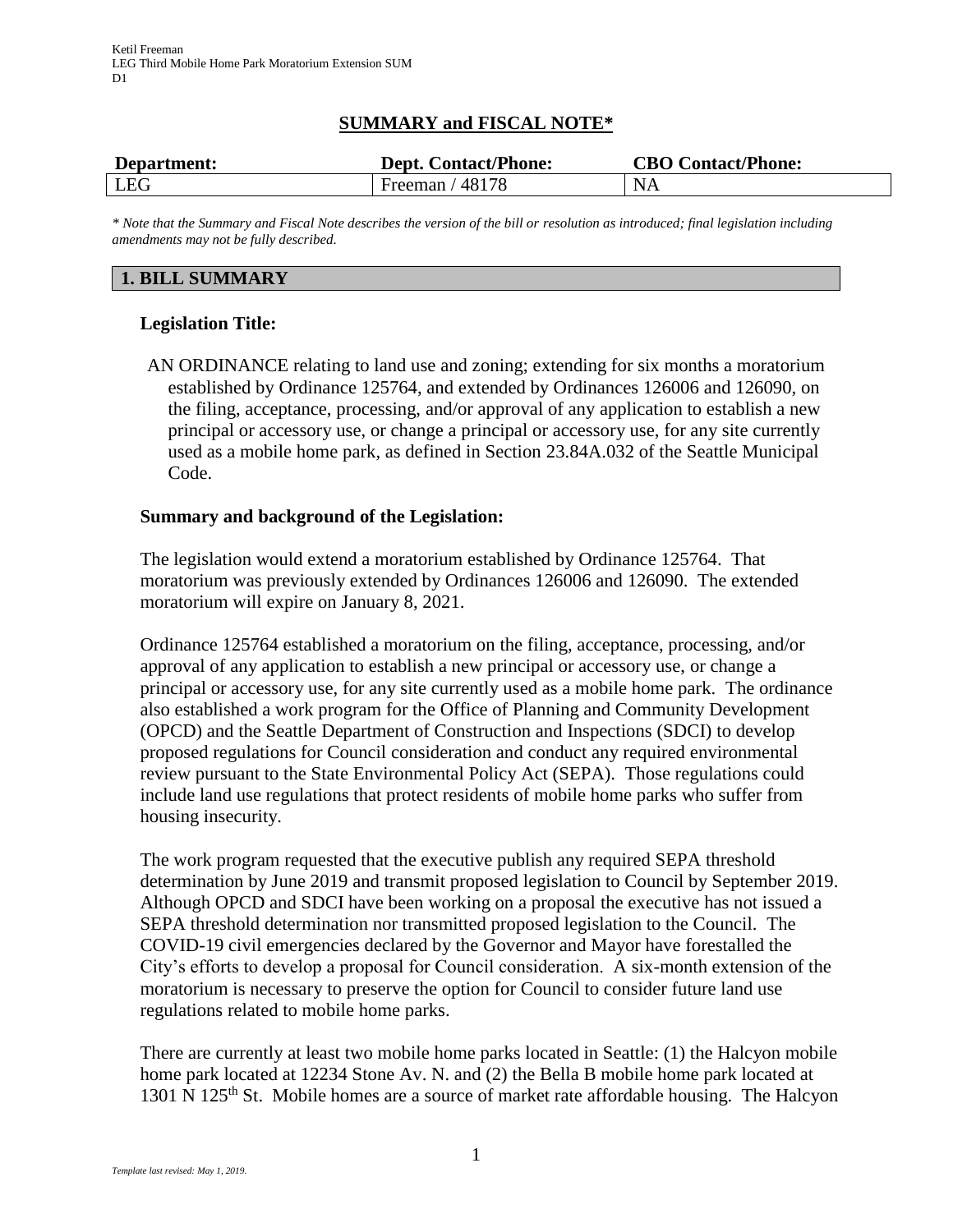# **SUMMARY and FISCAL NOTE\***

| Department: | <b>Dept. Contact/Phone:</b> | <b>CBO Contact/Phone:</b> |
|-------------|-----------------------------|---------------------------|
| LEG         | Freeman $/48178$            | <b>NA</b>                 |

*\* Note that the Summary and Fiscal Note describes the version of the bill or resolution as introduced; final legislation including amendments may not be fully described.*

#### **1. BILL SUMMARY**

#### **Legislation Title:**

AN ORDINANCE relating to land use and zoning; extending for six months a moratorium established by Ordinance 125764, and extended by Ordinances 126006 and 126090, on the filing, acceptance, processing, and/or approval of any application to establish a new principal or accessory use, or change a principal or accessory use, for any site currently used as a mobile home park, as defined in Section 23.84A.032 of the Seattle Municipal Code.

#### **Summary and background of the Legislation:**

The legislation would extend a moratorium established by Ordinance 125764. That moratorium was previously extended by Ordinances 126006 and 126090. The extended moratorium will expire on January 8, 2021.

Ordinance 125764 established a moratorium on the filing, acceptance, processing, and/or approval of any application to establish a new principal or accessory use, or change a principal or accessory use, for any site currently used as a mobile home park. The ordinance also established a work program for the Office of Planning and Community Development (OPCD) and the Seattle Department of Construction and Inspections (SDCI) to develop proposed regulations for Council consideration and conduct any required environmental review pursuant to the State Environmental Policy Act (SEPA). Those regulations could include land use regulations that protect residents of mobile home parks who suffer from housing insecurity.

The work program requested that the executive publish any required SEPA threshold determination by June 2019 and transmit proposed legislation to Council by September 2019. Although OPCD and SDCI have been working on a proposal the executive has not issued a SEPA threshold determination nor transmitted proposed legislation to the Council. The COVID-19 civil emergencies declared by the Governor and Mayor have forestalled the City's efforts to develop a proposal for Council consideration. A six-month extension of the moratorium is necessary to preserve the option for Council to consider future land use regulations related to mobile home parks.

There are currently at least two mobile home parks located in Seattle: (1) the Halcyon mobile home park located at 12234 Stone Av. N. and (2) the Bella B mobile home park located at 1301 N 125<sup>th</sup> St. Mobile homes are a source of market rate affordable housing. The Halcyon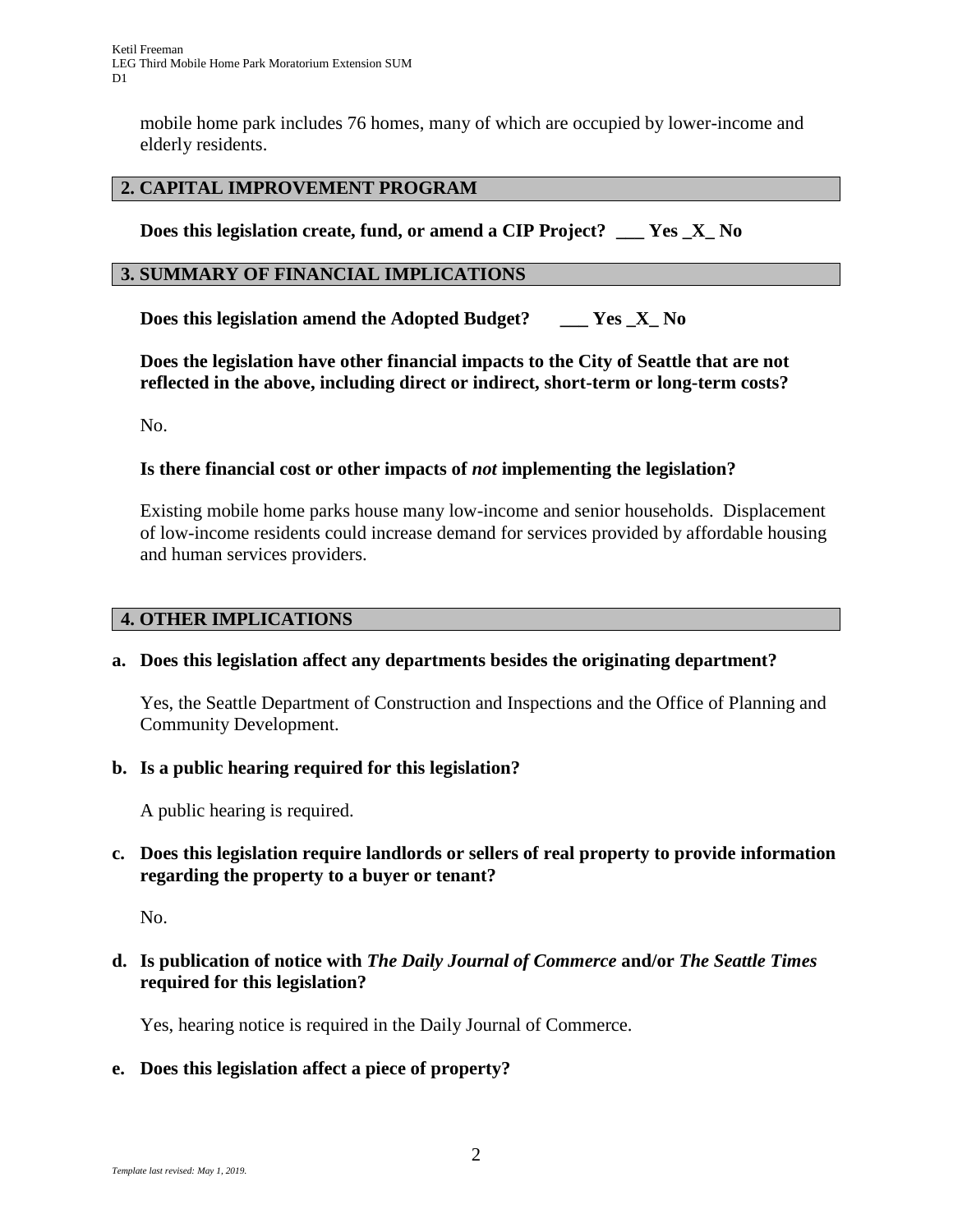mobile home park includes 76 homes, many of which are occupied by lower-income and elderly residents.

# **2. CAPITAL IMPROVEMENT PROGRAM**

**Does this legislation create, fund, or amend a CIP Project? \_\_\_ Yes \_X\_ No**

## **3. SUMMARY OF FINANCIAL IMPLICATIONS**

**Does this legislation amend the Adopted Budget? \_\_\_ Yes \_X\_ No**

**Does the legislation have other financial impacts to the City of Seattle that are not reflected in the above, including direct or indirect, short-term or long-term costs?**

No.

# **Is there financial cost or other impacts of** *not* **implementing the legislation?**

Existing mobile home parks house many low-income and senior households. Displacement of low-income residents could increase demand for services provided by affordable housing and human services providers.

## **4. OTHER IMPLICATIONS**

## **a. Does this legislation affect any departments besides the originating department?**

Yes, the Seattle Department of Construction and Inspections and the Office of Planning and Community Development.

## **b. Is a public hearing required for this legislation?**

A public hearing is required.

# **c. Does this legislation require landlords or sellers of real property to provide information regarding the property to a buyer or tenant?**

No.

# **d. Is publication of notice with** *The Daily Journal of Commerce* **and/or** *The Seattle Times* **required for this legislation?**

Yes, hearing notice is required in the Daily Journal of Commerce.

## **e. Does this legislation affect a piece of property?**